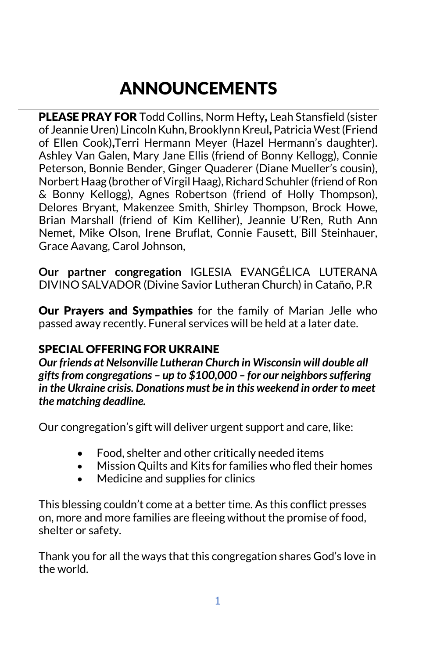# ANNOUNCEMENTS

PLEASE PRAY FOR Todd Collins, Norm Hefty, Leah Stansfield (sister of Jeannie Uren) Lincoln Kuhn, Brooklynn Kreul, Patricia West (Friend of Ellen Cook),Terri Hermann Meyer (Hazel Hermann's daughter). Ashley Van Galen, Mary Jane Ellis (friend of Bonny Kellogg), Connie Peterson, Bonnie Bender, Ginger Quaderer (Diane Mueller's cousin), Norbert Haag (brother of Virgil Haag), Richard Schuhler (friend of Ron & Bonny Kellogg), Agnes Robertson (friend of Holly Thompson), Delores Bryant, Makenzee Smith, Shirley Thompson, Brock Howe, Brian Marshall (friend of Kim Kelliher), Jeannie U'Ren, Ruth Ann Nemet, Mike Olson, Irene Bruflat, Connie Fausett, Bill Steinhauer, Grace Aavang, Carol Johnson,

**Our partner congregation** IGLESIA EVANGÉLICA LUTERANA DIVINO SALVADOR (Divine Savior Lutheran Church) in Cataño, P.R

**Our Pravers and Sympathies** for the family of Marian Jelle who passed away recently. Funeral services will be held at a later date.

#### SPECIAL OFFERING FOR UKRAINE

*Our friends at Nelsonville Lutheran Church in Wisconsin will double all gifts from congregations – up to \$100,000 – for our neighborssuffering in the Ukraine crisis. Donations must be in this weekend in order to meet the matching deadline.*

Our congregation's gift will deliver urgent support and care, like:

- Food, shelter and other critically needed items
- Mission Quilts and Kits for families who fled their homes
- Medicine and supplies for clinics

This blessing couldn't come at a better time. As this conflict presses on, more and more families are fleeing without the promise of food, shelter or safety.

Thank you for all the ways that this congregation shares God's love in the world.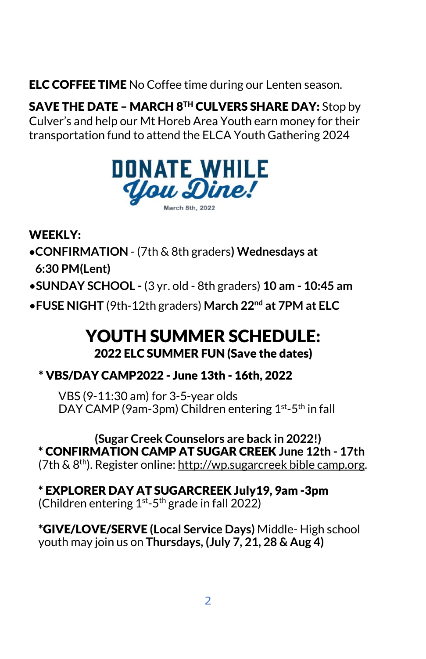ELC COFFEE TIME No Coffee time during our Lenten season.

SAVE THE DATE – MARCH 8TH CULVERS SHARE DAY: Stop by Culver's and help our Mt Horeb Area Youth earn money for their transportation fund to attend the ELCA Youth Gathering 2024



### WEEKLY:

- **•CONFIRMATION** (7th & 8th graders**) Wednesdays at 6:30 PM(Lent)**
- •**SUNDAY SCHOOL -** (3 yr. old 8th graders) **10 am - 10:45 am**
- •**FUSE NIGHT** (9th-12th graders) **March 22nd at 7PM at ELC**

# YOUTH SUMMER SCHEDULE: 2022 ELC SUMMER FUN (Save the dates)

#### \* VBS/DAY CAMP2022 - June 13th - 16th, 2022

VBS (9-11:30 am) for 3-5-year olds DAY CAMP (9am-3pm) Children entering 1<sup>st</sup>-5<sup>th</sup> in fall

**(Sugar Creek Counselors are back in 2022!)** \* CONFIRMATION CAMP AT SUGAR CREEK **June 12th - 17th** (7th & 8<sup>th</sup>). Register online: [http://wp.sugarcreek bible camp.org.](about:blank)

\* EXPLORER DAY AT SUGARCREEK July19, 9am -3pm (Children entering  $1<sup>st-5<sup>th</sup></sup>$  grade in fall 2022)

\*GIVE/LOVE/SERVE **(Local Service Days)** Middle- High school youth may join us on **Thursdays, (July 7, 21, 28 & Aug 4)**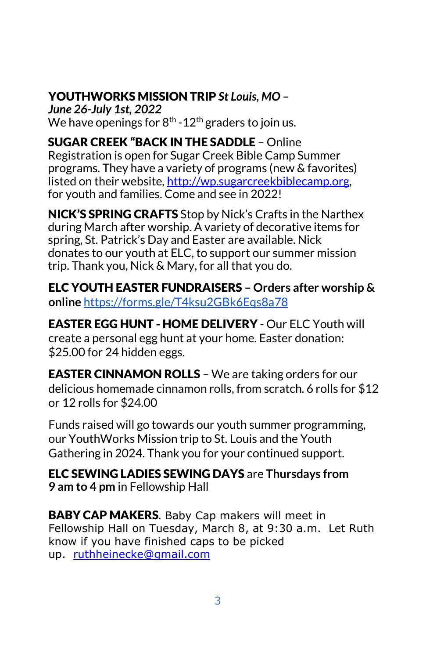# YOUTHWORKS MISSION TRIP *St Louis, MO –*

*June 26-July 1st, 2022* We have openings for  $8<sup>th</sup> - 12<sup>th</sup>$  graders to join us.

SUGAR CREEK "BACK IN THE SADDLE – Online Registration is open for Sugar Creek Bible Camp Summer programs. They have a variety of programs (new & favorites) listed on their website[, http://wp.sugarcreekbiblecamp.org,](about:blank) for youth and families. Come and see in 2022!

NICK'S SPRING CRAFTS Stop by Nick's Crafts in the Narthex during March after worship. A variety of decorative items for spring, St. Patrick's Day and Easter are available. Nick donates to our youth at ELC, to support our summer mission trip. Thank you, Nick & Mary, for all that you do.

ELC YOUTH EASTER FUNDRAISERS **– Orders after worship & online** [https://forms.gle/T4ksu2GBk6Eqs8a78](about:blank)

EASTER EGG HUNT - HOME DELIVERY - Our ELC Youth will create a personal egg hunt at your home. Easter donation: \$25.00 for 24 hidden eggs.

**EASTER CINNAMON ROLLS** - We are taking orders for our delicious homemade cinnamon rolls, from scratch. 6 rolls for \$12 or 12 rolls for \$24.00

Funds raised will go towards our youth summer programming, our YouthWorks Mission trip to St. Louis and the Youth Gathering in 2024. Thank you for your continued support.

ELC SEWING LADIES SEWING DAYS are **Thursdays from 9 am to 4 pm** in Fellowship Hall

BABY CAP MAKERS. Baby Cap makers will meet in Fellowship Hall on Tuesday, March 8, at 9:30 a.m. Let Ruth know if you have finished caps to be picked up. [ruthheinecke@gmail.com](about:blank)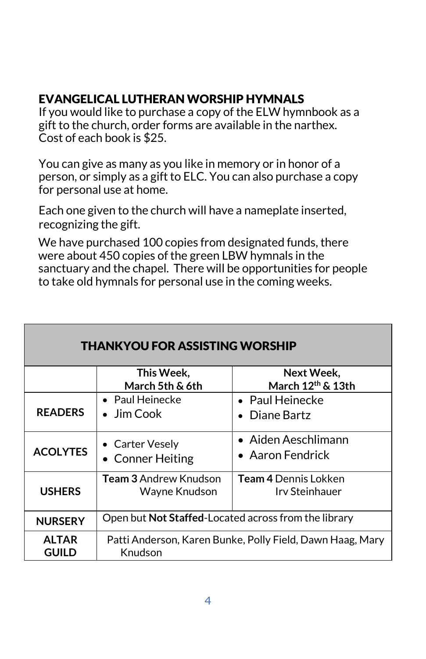## EVANGELICAL LUTHERAN WORSHIP HYMNALS

If you would like to purchase a copy of the ELW hymnbook as a gift to the church, order forms are available in the narthex. Cost of each book is \$25.

You can give as many as you like in memory or in honor of a person, or simply as a gift to ELC. You can also purchase a copy for personal use at home.

Each one given to the church will have a nameplate inserted, recognizing the gift.

We have purchased 100 copies from designated funds, there were about 450 copies of the green LBW hymnals in the sanctuary and the chapel. There will be opportunities for people to take old hymnals for personal use in the coming weeks.

| <b>THANKYOU FOR ASSISTING WORSHIP</b> |                                                                      |                                                         |  |
|---------------------------------------|----------------------------------------------------------------------|---------------------------------------------------------|--|
|                                       | This Week,<br>March 5th & 6th                                        | Next Week,<br>March 12th & 13th                         |  |
| <b>READERS</b>                        | $\bullet$ Paul Heinecke<br>$\bullet$ Jim Cook                        | • Paul Heinecke<br>Diane Bartz                          |  |
| <b>ACOLYTES</b>                       | • Carter Vesely<br>• Conner Heiting                                  | $\bullet$ Aiden Aeschlimann<br>$\bullet$ Aaron Fendrick |  |
| <b>USHERS</b>                         | <b>Team 3</b> Andrew Knudson<br>Wayne Knudson                        | <b>Team 4</b> Dennis Lokken<br>Irv Steinhauer           |  |
| <b>NURSERY</b>                        | Open but <b>Not Staffed-Located across from the library</b>          |                                                         |  |
| <b>ALTAR</b><br><b>GUILD</b>          | Patti Anderson, Karen Bunke, Polly Field, Dawn Haag, Mary<br>Knudson |                                                         |  |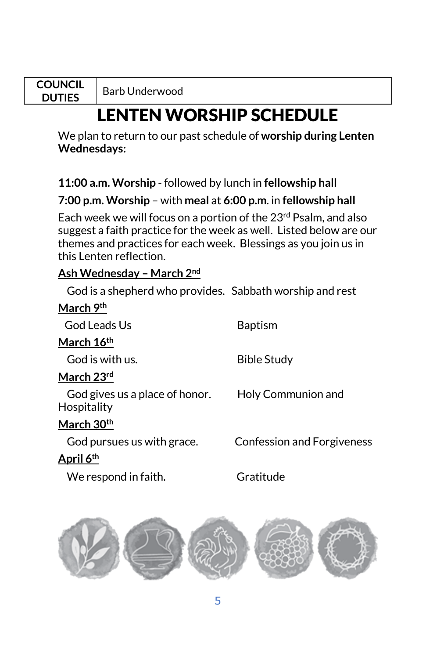**COUNCIL**

**DUTIES** Barb Underwood

# LENTEN WORSHIP SCHEDULE

We plan to return to our past schedule of **worship during Lenten Wednesdays:**

**11:00 a.m. Worship** - followed by lunch in **fellowship hall**

**7:00 p.m. Worship** – with **meal** at **6:00 p.m**. in **fellowship hall**

Each week we will focus on a portion of the 23rd Psalm, and also suggest a faith practice for the week as well. Listed below are our themes and practices for each week. Blessings as you join us in this Lenten reflection.

### **Ash Wednesday – March 2nd**

God is a shepherd who provides. Sabbath worship and rest

| March 9th                                     |                                   |
|-----------------------------------------------|-----------------------------------|
| God Leads Us                                  | Baptism                           |
| March 16 <sup>th</sup>                        |                                   |
| God is with us.                               | Bible Study                       |
| March 23rd                                    |                                   |
| God gives us a place of honor.<br>Hospitality | Holy Communion and                |
| March 30 <sup>th</sup>                        |                                   |
| God pursues us with grace.                    | <b>Confession and Forgiveness</b> |
| April 6th                                     |                                   |
| We respond in faith.                          | Gratitude                         |

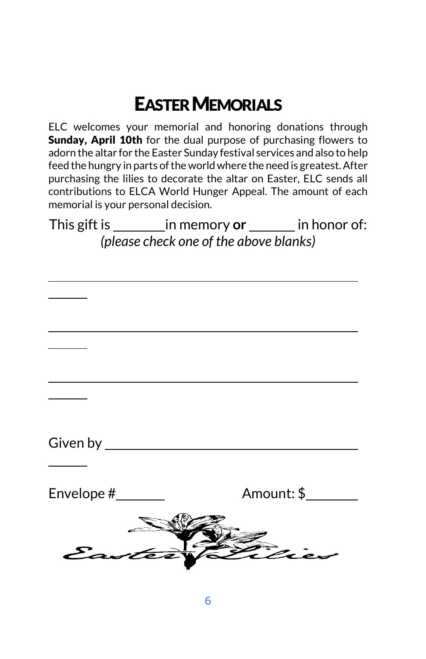# EASTER MEMORIALS

ELC welcomes your memorial and honoring donations through Sunday, April 10th for the dual purpose of purchasing flowers to adorn the altar for the Easter Sunday festival services and also to help feed the hungry in parts of the world where the need is greatest. After purchasing the lilies to decorate the altar on Easter, ELC sends all contributions to ELCA World Hunger Appeal. The amount of each memorial is your personal decision.

This gift is <u>in memory or in honor of:</u> *(please check one of the above blanks)*